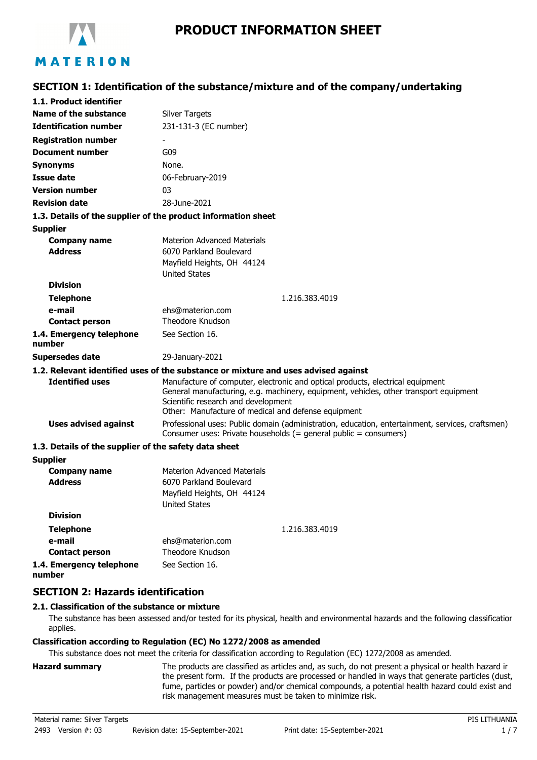

#### **SECTION 1: Identification of the substance/mixture and of the company/undertaking 1.1. Product identifier Identification number Name of the substance** Silver Targets 231-131-3 (EC number) **Registration number Document number** G09 **Synonyms** None. **Issue date** 06-February-2019 **Version number** 03 **Revision date** 28-June-2021 **1.3. Details of the supplier of the product information sheet** Materion Advanced Materials Mayfield Heights, OH 44124 **Supplier Company name Telephone** 1.216.383.4019 **e-mail Contact person** ehs@materion.com Theodore Knudson **1.4. Emergency telephone number** See Section 16. **Address Division** United States 6070 Parkland Boulevard **Supersedes date** 29-January-2021 **1.2. Relevant identified uses of the substance or mixture and uses advised against** Manufacture of computer, electronic and optical products, electrical equipment General manufacturing, e.g. machinery, equipment, vehicles, other transport equipment Scientific research and development Other: Manufacture of medical and defense equipment **Identified uses** Professional uses: Public domain (administration, education, entertainment, services, craftsmen) Consumer uses: Private households (= general public = consumers) **Uses advised against 1.3. Details of the supplier of the safety data sheet** Materion Advanced Materials Mayfield Heights, OH 44124 **Supplier Company name Telephone** 1.216.383.4019 **e-mail Contact person** ehs@materion.com Theodore Knudson **1.4. Emergency telephone number** See Section 16. **Address Division** United States 6070 Parkland Boulevard **SECTION 2: Hazards identification 2.1. Classification of the substance or mixture**

The substance has been assessed and/or tested for its physical, health and environmental hazards and the following classification applies.

## **Classification according to Regulation (EC) No 1272/2008 as amended**

This substance does not meet the criteria for classification according to Regulation (EC) 1272/2008 as amended.

**Hazard summary** The products are classified as articles and, as such, do not present a physical or health hazard in the present form. If the products are processed or handled in ways that generate particles (dust, fume, particles or powder) and/or chemical compounds, a potential health hazard could exist and risk management measures must be taken to minimize risk.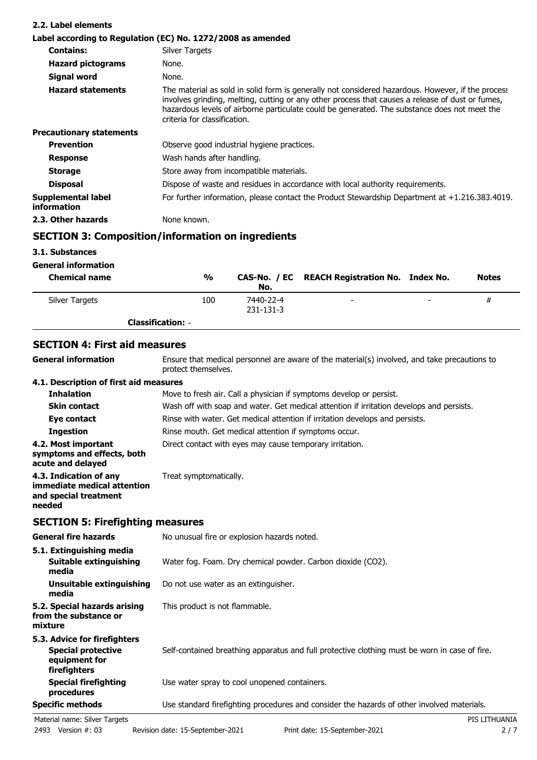| 2.2. Label elements               |                                                                                                                                                                                                                                                                                                                                       |
|-----------------------------------|---------------------------------------------------------------------------------------------------------------------------------------------------------------------------------------------------------------------------------------------------------------------------------------------------------------------------------------|
|                                   | Label according to Regulation (EC) No. 1272/2008 as amended                                                                                                                                                                                                                                                                           |
| <b>Contains:</b>                  | Silver Targets                                                                                                                                                                                                                                                                                                                        |
| <b>Hazard pictograms</b>          | None.                                                                                                                                                                                                                                                                                                                                 |
| <b>Signal word</b>                | None.                                                                                                                                                                                                                                                                                                                                 |
| <b>Hazard statements</b>          | The material as sold in solid form is generally not considered hazardous. However, if the process<br>involves grinding, melting, cutting or any other process that causes a release of dust or fumes,<br>hazardous levels of airborne particulate could be generated. The substance does not meet the<br>criteria for classification. |
| <b>Precautionary statements</b>   |                                                                                                                                                                                                                                                                                                                                       |
| <b>Prevention</b>                 | Observe good industrial hygiene practices.                                                                                                                                                                                                                                                                                            |
| <b>Response</b>                   | Wash hands after handling.                                                                                                                                                                                                                                                                                                            |
| <b>Storage</b>                    | Store away from incompatible materials.                                                                                                                                                                                                                                                                                               |
| <b>Disposal</b>                   | Dispose of waste and residues in accordance with local authority requirements.                                                                                                                                                                                                                                                        |
| Supplemental label<br>information | For further information, please contact the Product Stewardship Department at $+1.216.383.4019$ .                                                                                                                                                                                                                                     |
| 2.3. Other hazards                | None known.                                                                                                                                                                                                                                                                                                                           |

# **SECTION 3: Composition/information on ingredients**

## **3.1. Substances**

| <b>General information</b> |
|----------------------------|
|                            |

| <b>Chemical name</b> | %                        | No.                    | CAS-No. / EC REACH Registration No. Index No. |                          | <b>Notes</b> |
|----------------------|--------------------------|------------------------|-----------------------------------------------|--------------------------|--------------|
| Silver Targets       | 100                      | 7440-22-4<br>231-131-3 | $\overline{\phantom{0}}$                      | $\overline{\phantom{a}}$ | #            |
|                      | <b>Classification: -</b> |                        |                                               |                          |              |

## **SECTION 4: First aid measures**

| <b>General information</b>                                                               | Ensure that medical personnel are aware of the material(s) involved, and take precautions to<br>protect themselves. |
|------------------------------------------------------------------------------------------|---------------------------------------------------------------------------------------------------------------------|
| 4.1. Description of first aid measures                                                   |                                                                                                                     |
| <b>Inhalation</b>                                                                        | Move to fresh air. Call a physician if symptoms develop or persist.                                                 |
| <b>Skin contact</b>                                                                      | Wash off with soap and water. Get medical attention if irritation develops and persists.                            |
| Eye contact                                                                              | Rinse with water. Get medical attention if irritation develops and persists.                                        |
| <b>Ingestion</b>                                                                         | Rinse mouth. Get medical attention if symptoms occur.                                                               |
| 4.2. Most important<br>symptoms and effects, both<br>acute and delayed                   | Direct contact with eyes may cause temporary irritation.                                                            |
| 4.3. Indication of any<br>immediate medical attention<br>and special treatment<br>needed | Treat symptomatically.                                                                                              |

## **SECTION 5: Firefighting measures**

| <b>General fire hazards</b>                                                                | No unusual fire or explosion hazards noted.                                                   |
|--------------------------------------------------------------------------------------------|-----------------------------------------------------------------------------------------------|
| 5.1. Extinguishing media<br>Suitable extinguishing<br>media                                | Water fog. Foam. Dry chemical powder. Carbon dioxide (CO2).                                   |
| Unsuitable extinguishing<br>media                                                          | Do not use water as an extinguisher.                                                          |
| 5.2. Special hazards arising<br>from the substance or<br>mixture                           | This product is not flammable.                                                                |
| 5.3. Advice for firefighters<br><b>Special protective</b><br>equipment for<br>firefighters | Self-contained breathing apparatus and full protective clothing must be worn in case of fire. |
| <b>Special firefighting</b><br>procedures                                                  | Use water spray to cool unopened containers.                                                  |
| <b>Specific methods</b>                                                                    | Use standard firefighting procedures and consider the hazards of other involved materials.    |
| Material name: Silver Targets                                                              | PIS LITHUANIA                                                                                 |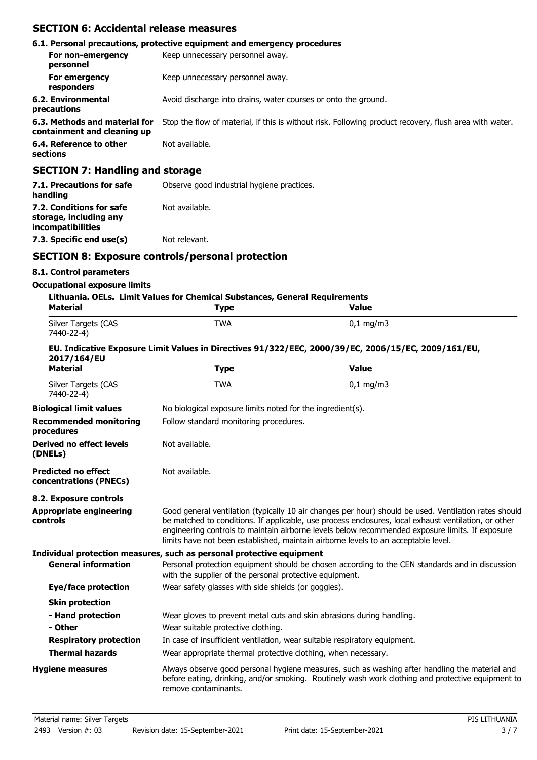## **SECTION 6: Accidental release measures**

|                                                              | 6.1. Personal precautions, protective equipment and emergency procedures                               |
|--------------------------------------------------------------|--------------------------------------------------------------------------------------------------------|
| For non-emergency<br>personnel                               | Keep unnecessary personnel away.                                                                       |
| For emergency<br>responders                                  | Keep unnecessary personnel away.                                                                       |
| 6.2. Environmental<br>precautions                            | Avoid discharge into drains, water courses or onto the ground.                                         |
| 6.3. Methods and material for<br>containment and cleaning up | Stop the flow of material, if this is without risk. Following product recovery, flush area with water. |
| 6.4. Reference to other<br>sections                          | Not available.                                                                                         |
| <b>SECTION 7: Handling and storage</b>                       |                                                                                                        |

| 7.1. Precautions for safe<br>handling                                   | Observe good industrial hygiene practices. |
|-------------------------------------------------------------------------|--------------------------------------------|
| 7.2. Conditions for safe<br>storage, including any<br>incompatibilities | Not available.                             |
| 7.3. Specific end use(s)                                                | Not relevant.                              |

## **SECTION 8: Exposure controls/personal protection**

#### **8.1. Control parameters**

#### **Occupational exposure limits**

| <b>Material</b>                                      | Lithuania. OELs. Limit Values for Chemical Substances, General Requirements<br><b>Type</b>                                                                                                                                                                                                                                                                                                             | <b>Value</b>                                                                                                                                                                                        |  |
|------------------------------------------------------|--------------------------------------------------------------------------------------------------------------------------------------------------------------------------------------------------------------------------------------------------------------------------------------------------------------------------------------------------------------------------------------------------------|-----------------------------------------------------------------------------------------------------------------------------------------------------------------------------------------------------|--|
| Silver Targets (CAS<br>7440-22-4)                    | <b>TWA</b>                                                                                                                                                                                                                                                                                                                                                                                             | $0,1$ mg/m3                                                                                                                                                                                         |  |
| 2017/164/EU                                          |                                                                                                                                                                                                                                                                                                                                                                                                        | EU. Indicative Exposure Limit Values in Directives 91/322/EEC, 2000/39/EC, 2006/15/EC, 2009/161/EU,                                                                                                 |  |
| <b>Material</b>                                      | <b>Type</b>                                                                                                                                                                                                                                                                                                                                                                                            | <b>Value</b>                                                                                                                                                                                        |  |
| Silver Targets (CAS<br>7440-22-4)                    | <b>TWA</b>                                                                                                                                                                                                                                                                                                                                                                                             | $0,1$ mg/m3                                                                                                                                                                                         |  |
| <b>Biological limit values</b>                       | No biological exposure limits noted for the ingredient(s).                                                                                                                                                                                                                                                                                                                                             |                                                                                                                                                                                                     |  |
| <b>Recommended monitoring</b><br>procedures          | Follow standard monitoring procedures.                                                                                                                                                                                                                                                                                                                                                                 |                                                                                                                                                                                                     |  |
| <b>Derived no effect levels</b><br>(DNELs)           | Not available.                                                                                                                                                                                                                                                                                                                                                                                         |                                                                                                                                                                                                     |  |
| <b>Predicted no effect</b><br>concentrations (PNECs) | Not available.                                                                                                                                                                                                                                                                                                                                                                                         |                                                                                                                                                                                                     |  |
| 8.2. Exposure controls                               |                                                                                                                                                                                                                                                                                                                                                                                                        |                                                                                                                                                                                                     |  |
| <b>Appropriate engineering</b><br>controls           | Good general ventilation (typically 10 air changes per hour) should be used. Ventilation rates should<br>be matched to conditions. If applicable, use process enclosures, local exhaust ventilation, or other<br>engineering controls to maintain airborne levels below recommended exposure limits. If exposure<br>limits have not been established, maintain airborne levels to an acceptable level. |                                                                                                                                                                                                     |  |
|                                                      | Individual protection measures, such as personal protective equipment                                                                                                                                                                                                                                                                                                                                  |                                                                                                                                                                                                     |  |
| <b>General information</b>                           | with the supplier of the personal protective equipment.                                                                                                                                                                                                                                                                                                                                                | Personal protection equipment should be chosen according to the CEN standards and in discussion                                                                                                     |  |
| <b>Eye/face protection</b>                           | Wear safety glasses with side shields (or goggles).                                                                                                                                                                                                                                                                                                                                                    |                                                                                                                                                                                                     |  |
| <b>Skin protection</b>                               |                                                                                                                                                                                                                                                                                                                                                                                                        |                                                                                                                                                                                                     |  |
| - Hand protection                                    | Wear gloves to prevent metal cuts and skin abrasions during handling.                                                                                                                                                                                                                                                                                                                                  |                                                                                                                                                                                                     |  |
| - Other                                              | Wear suitable protective clothing.                                                                                                                                                                                                                                                                                                                                                                     |                                                                                                                                                                                                     |  |
| <b>Respiratory protection</b>                        | In case of insufficient ventilation, wear suitable respiratory equipment.                                                                                                                                                                                                                                                                                                                              |                                                                                                                                                                                                     |  |
| <b>Thermal hazards</b>                               | Wear appropriate thermal protective clothing, when necessary.                                                                                                                                                                                                                                                                                                                                          |                                                                                                                                                                                                     |  |
| <b>Hygiene measures</b>                              | remove contaminants.                                                                                                                                                                                                                                                                                                                                                                                   | Always observe good personal hygiene measures, such as washing after handling the material and<br>before eating, drinking, and/or smoking. Routinely wash work clothing and protective equipment to |  |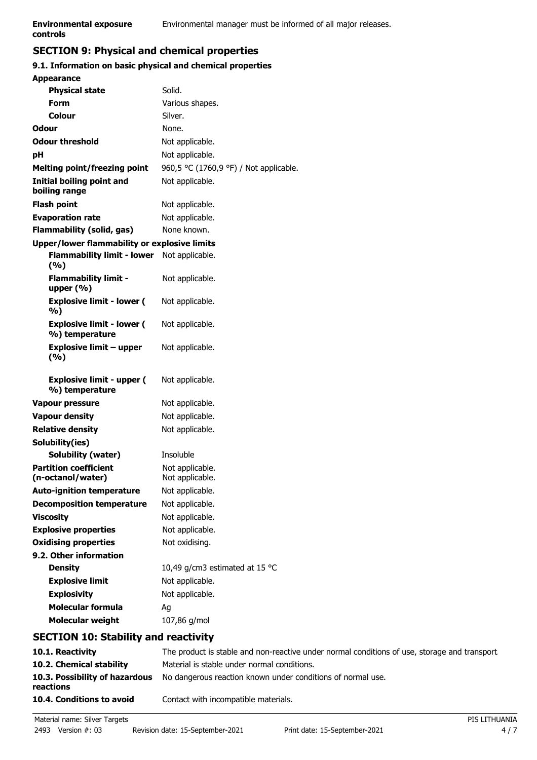## **SECTION 9: Physical and chemical properties**

#### **9.1. Information on basic physical and chemical properties**

| <b>Appearance</b>                                  |                                        |
|----------------------------------------------------|----------------------------------------|
| <b>Physical state</b>                              | Solid.                                 |
| Form                                               | Various shapes.                        |
| Colour                                             | Silver.                                |
| Odour                                              | None.                                  |
| <b>Odour threshold</b>                             | Not applicable.                        |
| рH                                                 | Not applicable.                        |
| <b>Melting point/freezing point</b>                | 960,5 °C (1760,9 °F) / Not applicable. |
| <b>Initial boiling point and</b><br>boiling range  | Not applicable.                        |
| <b>Flash point</b>                                 | Not applicable.                        |
| <b>Evaporation rate</b>                            | Not applicable.                        |
| <b>Flammability (solid, gas)</b>                   | None known.                            |
| Upper/lower flammability or explosive limits       |                                        |
| <b>Flammability limit - lower</b><br>(%)           | Not applicable.                        |
| <b>Flammability limit -</b><br>upper $(\% )$       | Not applicable.                        |
| <b>Explosive limit - lower (</b><br>%)             | Not applicable.                        |
| <b>Explosive limit - lower (</b><br>%) temperature | Not applicable.                        |
| <b>Explosive limit - upper</b><br>(9/6)            | Not applicable.                        |
| <b>Explosive limit - upper (</b><br>%) temperature | Not applicable.                        |
| <b>Vapour pressure</b>                             | Not applicable.                        |
| <b>Vapour density</b>                              | Not applicable.                        |
| <b>Relative density</b>                            | Not applicable.                        |
| Solubility(ies)                                    |                                        |
| <b>Solubility (water)</b>                          | Insoluble                              |
| <b>Partition coefficient</b><br>(n-octanol/water)  | Not applicable.<br>Not applicable.     |
| <b>Auto-ignition temperature</b>                   | Not applicable.                        |
| <b>Decomposition temperature</b>                   | Not applicable.                        |
| <b>Viscosity</b>                                   | Not applicable.                        |
| <b>Explosive properties</b>                        | Not applicable.                        |
| <b>Oxidising properties</b>                        | Not oxidising.                         |
| 9.2. Other information                             |                                        |
| <b>Density</b>                                     | 10,49 g/cm3 estimated at 15 °C         |
| <b>Explosive limit</b>                             | Not applicable.                        |
| <b>Explosivity</b>                                 | Not applicable.                        |
| <b>Molecular formula</b>                           | Aq                                     |
| <b>Molecular weight</b>                            | 107,86 g/mol                           |
|                                                    |                                        |

## **SECTION 10: Stability and reactivity**

| 10.1. Reactivity                            | The product is stable and non-reactive under normal conditions of use, storage and transport. |
|---------------------------------------------|-----------------------------------------------------------------------------------------------|
| 10.2. Chemical stability                    | Material is stable under normal conditions.                                                   |
| 10.3. Possibility of hazardous<br>reactions | No dangerous reaction known under conditions of normal use.                                   |
| 10.4. Conditions to avoid                   | Contact with incompatible materials.                                                          |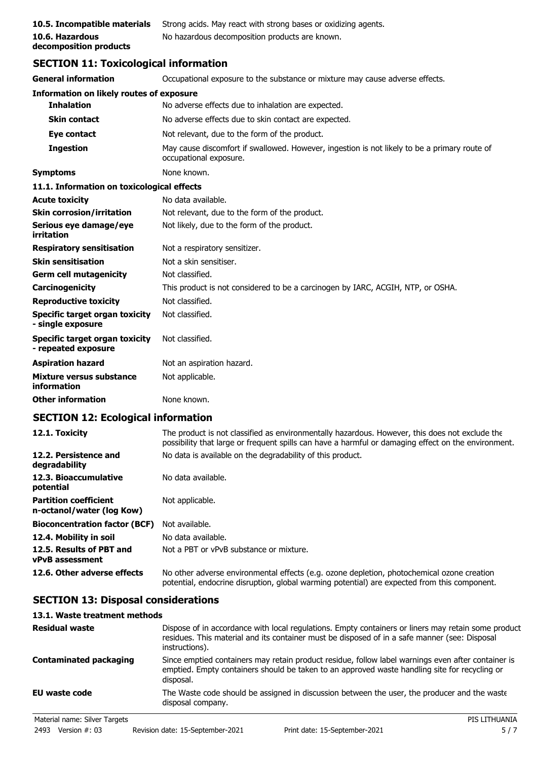| 10.5. Incompatible materials | St |
|------------------------------|----|
| 10.6. Hazardous              | N  |
| decomposition products       |    |

**trong acids. May react with strong bases or oxidizing agents. 10.6. Hazardous** No hazardous decomposition products are known.

## **SECTION 11: Toxicological information**

| <b>General information</b>                                 | Occupational exposure to the substance or mixture may cause adverse effects.                                           |
|------------------------------------------------------------|------------------------------------------------------------------------------------------------------------------------|
| <b>Information on likely routes of exposure</b>            |                                                                                                                        |
| <b>Inhalation</b>                                          | No adverse effects due to inhalation are expected.                                                                     |
| <b>Skin contact</b>                                        | No adverse effects due to skin contact are expected.                                                                   |
| Eye contact                                                | Not relevant, due to the form of the product.                                                                          |
| <b>Ingestion</b>                                           | May cause discomfort if swallowed. However, ingestion is not likely to be a primary route of<br>occupational exposure. |
| <b>Symptoms</b>                                            | None known.                                                                                                            |
| 11.1. Information on toxicological effects                 |                                                                                                                        |
| <b>Acute toxicity</b>                                      | No data available.                                                                                                     |
| <b>Skin corrosion/irritation</b>                           | Not relevant, due to the form of the product.                                                                          |
| Serious eye damage/eye<br>irritation                       | Not likely, due to the form of the product.                                                                            |
| <b>Respiratory sensitisation</b>                           | Not a respiratory sensitizer.                                                                                          |
| <b>Skin sensitisation</b>                                  | Not a skin sensitiser.                                                                                                 |
| <b>Germ cell mutagenicity</b>                              | Not classified.                                                                                                        |
| Carcinogenicity                                            | This product is not considered to be a carcinogen by IARC, ACGIH, NTP, or OSHA.                                        |
| <b>Reproductive toxicity</b>                               | Not classified.                                                                                                        |
| <b>Specific target organ toxicity</b><br>- single exposure | Not classified.                                                                                                        |
| Specific target organ toxicity<br>- repeated exposure      | Not classified.                                                                                                        |
| <b>Aspiration hazard</b>                                   | Not an aspiration hazard.                                                                                              |
| Mixture versus substance<br>information                    | Not applicable.                                                                                                        |
| <b>Other information</b>                                   | None known.                                                                                                            |

## **SECTION 12: Ecological information**

| 12.1. Toxicity                                            | The product is not classified as environmentally hazardous. However, this does not exclude the<br>possibility that large or frequent spills can have a harmful or damaging effect on the environment. |
|-----------------------------------------------------------|-------------------------------------------------------------------------------------------------------------------------------------------------------------------------------------------------------|
| 12.2. Persistence and<br>degradability                    | No data is available on the degradability of this product.                                                                                                                                            |
| 12.3. Bioaccumulative<br>potential                        | No data available.                                                                                                                                                                                    |
| <b>Partition coefficient</b><br>n-octanol/water (log Kow) | Not applicable.                                                                                                                                                                                       |
| <b>Bioconcentration factor (BCF)</b>                      | Not available.                                                                                                                                                                                        |
| 12.4. Mobility in soil                                    | No data available.                                                                                                                                                                                    |
| 12.5. Results of PBT and<br><b>vPvB</b> assessment        | Not a PBT or vPvB substance or mixture.                                                                                                                                                               |
| 12.6. Other adverse effects                               | No other adverse environmental effects (e.g. ozone depletion, photochemical ozone creation<br>potential, endocrine disruption, global warming potential) are expected from this component.            |

## **SECTION 13: Disposal considerations**

## **13.1. Waste treatment methods**

| <b>Residual waste</b>         | Dispose of in accordance with local regulations. Empty containers or liners may retain some product<br>residues. This material and its container must be disposed of in a safe manner (see: Disposal<br>instructions). |
|-------------------------------|------------------------------------------------------------------------------------------------------------------------------------------------------------------------------------------------------------------------|
| <b>Contaminated packaging</b> | Since emptied containers may retain product residue, follow label warnings even after container is<br>emptied. Empty containers should be taken to an approved waste handling site for recycling or<br>disposal.       |
| EU waste code                 | The Waste code should be assigned in discussion between the user, the producer and the waste<br>disposal company.                                                                                                      |
| Material name: Silver Targets | PIS LITHUANIA                                                                                                                                                                                                          |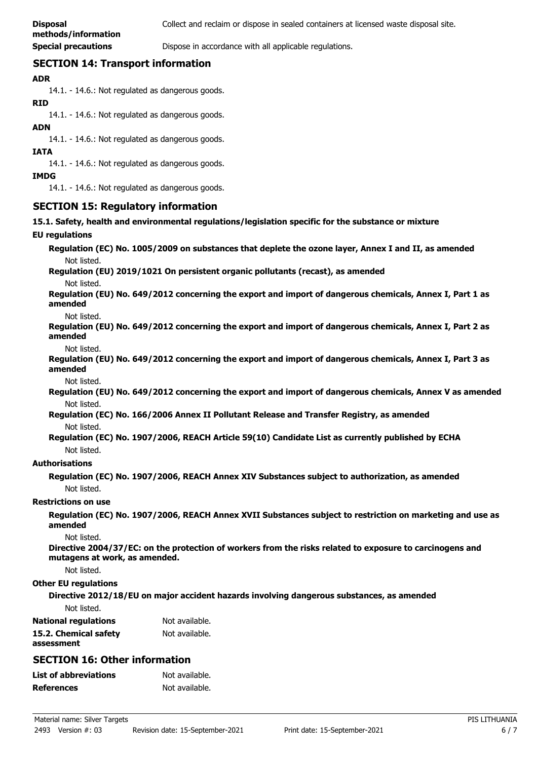**Special precautions Dispose in accordance with all applicable regulations.** 

## **SECTION 14: Transport information**

#### **ADR**

14.1. - 14.6.: Not regulated as dangerous goods.

#### **RID**

14.1. - 14.6.: Not regulated as dangerous goods.

#### **ADN**

14.1. - 14.6.: Not regulated as dangerous goods.

#### **IATA**

14.1. - 14.6.: Not regulated as dangerous goods.

#### **IMDG**

14.1. - 14.6.: Not regulated as dangerous goods.

## **SECTION 15: Regulatory information**

**15.1. Safety, health and environmental regulations/legislation specific for the substance or mixture**

#### **EU regulations**

**Regulation (EC) No. 1005/2009 on substances that deplete the ozone layer, Annex I and II, as amended** Not listed.

**Regulation (EU) 2019/1021 On persistent organic pollutants (recast), as amended**

Not listed.

**Regulation (EU) No. 649/2012 concerning the export and import of dangerous chemicals, Annex I, Part 1 as amended**

#### Not listed.

**Regulation (EU) No. 649/2012 concerning the export and import of dangerous chemicals, Annex I, Part 2 as amended**

Not listed.

**Regulation (EU) No. 649/2012 concerning the export and import of dangerous chemicals, Annex I, Part 3 as amended**

Not listed.

**Regulation (EU) No. 649/2012 concerning the export and import of dangerous chemicals, Annex V as amended** Not listed.

**Regulation (EC) No. 166/2006 Annex II Pollutant Release and Transfer Registry, as amended** Not listed.

**Regulation (EC) No. 1907/2006, REACH Article 59(10) Candidate List as currently published by ECHA** Not listed.

#### **Authorisations**

**Regulation (EC) No. 1907/2006, REACH Annex XIV Substances subject to authorization, as amended** Not listed.

#### **Restrictions on use**

**Regulation (EC) No. 1907/2006, REACH Annex XVII Substances subject to restriction on marketing and use as amended**

Not listed.

**Directive 2004/37/EC: on the protection of workers from the risks related to exposure to carcinogens and mutagens at work, as amended.**

Not listed.

#### **Other EU regulations**

**Directive 2012/18/EU on major accident hazards involving dangerous substances, as amended**

Not listed.

| <b>National regulations</b> | Not available. |
|-----------------------------|----------------|
| 15.2. Chemical safety       | Not available. |
| assessment                  |                |

## **SECTION 16: Other information**

| List of abbreviations | Not available. |
|-----------------------|----------------|
| References            | Not available. |